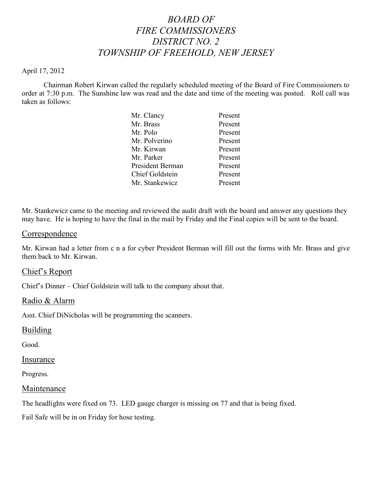# *BOARD OF FIRE COMMISSIONERS DISTRICT NO. 2 TOWNSHIP OF FREEHOLD, NEW JERSEY*

#### April 17, 2012

Chairman Robert Kirwan called the regularly scheduled meeting of the Board of Fire Commissioners to order at 7:30 p.m. The Sunshine law was read and the date and time of the meeting was posted. Roll call was taken as follows:

| Mr. Clancy       | Present |
|------------------|---------|
| Mr. Brass        | Present |
| Mr. Polo         | Present |
| Mr. Polverino    | Present |
| Mr. Kirwan       | Present |
| Mr. Parker       | Present |
| President Berman | Present |
| Chief Goldstein  | Present |
| Mr. Stankewicz   | Present |

Mr. Stankewicz came to the meeting and reviewed the audit draft with the board and answer any questions they may have. He is hoping to have the final in the mail by Friday and the Final copies will be sent to the board.

#### Correspondence

Mr. Kirwan had a letter from c n a for cyber President Berman will fill out the forms with Mr. Brass and give them back to Mr. Kirwan.

# Chief's Report

Chief's Dinner – Chief Goldstein will talk to the company about that.

# Radio & Alarm

Asst. Chief DiNicholas will be programming the scanners.

#### **Building**

Good.

#### Insurance

Progress.

#### Maintenance

The headlights were fixed on 73. LED gauge charger is missing on 77 and that is being fixed.

Fail Safe will be in on Friday for hose testing.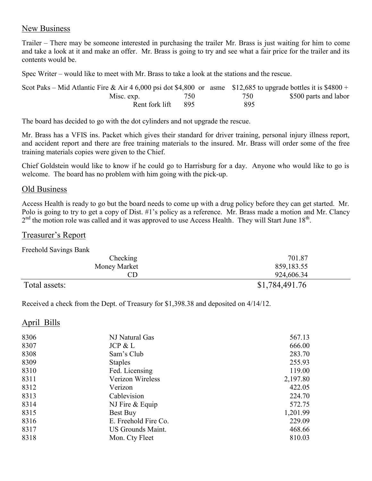# New Business

Trailer – There may be someone interested in purchasing the trailer Mr. Brass is just waiting for him to come and take a look at it and make an offer. Mr. Brass is going to try and see what a fair price for the trailer and its contents would be.

Spec Writer – would like to meet with Mr. Brass to take a look at the stations and the rescue.

| Scot Paks – Mid Atlantic Fire & Air 4 6,000 psi dot \$4,800 or asme \$12,685 to upgrade bottles it is \$4800 + |      |     |                       |
|----------------------------------------------------------------------------------------------------------------|------|-----|-----------------------|
| Misc. exp.                                                                                                     | 750- | 750 | \$500 parts and labor |
| Rent fork lift                                                                                                 | -895 | 895 |                       |

The board has decided to go with the dot cylinders and not upgrade the rescue.

Mr. Brass has a VFIS ins. Packet which gives their standard for driver training, personal injury illness report, and accident report and there are free training materials to the insured. Mr. Brass will order some of the free training materials copies were given to the Chief.

Chief Goldstein would like to know if he could go to Harrisburg for a day. Anyone who would like to go is welcome. The board has no problem with him going with the pick-up.

# Old Business

Access Health is ready to go but the board needs to come up with a drug policy before they can get started. Mr. Polo is going to try to get a copy of Dist. #1's policy as a reference. Mr. Brass made a motion and Mr. Clancy  $2<sup>nd</sup>$  the motion role was called and it was approved to use Access Health. They will Start June 18<sup>th</sup>.

# Treasurer's Report

Freehold Savings Bank

| Checking      | 701.87         |
|---------------|----------------|
| Money Market  | 859,183.55     |
|               | 924,606.34     |
| Total assets: | \$1,784,491.76 |

Received a check from the Dept. of Treasury for \$1,398.38 and deposited on 4/14/12.

# April Bills

| 8306 | NJ Natural Gas           | 567.13   |
|------|--------------------------|----------|
| 8307 | JCP & L                  | 666.00   |
| 8308 | Sam's Club               | 283.70   |
| 8309 | <b>Staples</b>           | 255.93   |
| 8310 | Fed. Licensing           | 119.00   |
| 8311 | Verizon Wireless         | 2,197.80 |
| 8312 | Verizon                  | 422.05   |
| 8313 | Cablevision              | 224.70   |
| 8314 | NJ Fire $&$ Equip        | 572.75   |
| 8315 | Best Buy                 | 1,201.99 |
| 8316 | E. Freehold Fire Co.     | 229.09   |
| 8317 | <b>US Grounds Maint.</b> | 468.66   |
| 8318 | Mon. Cty Fleet           | 810.03   |